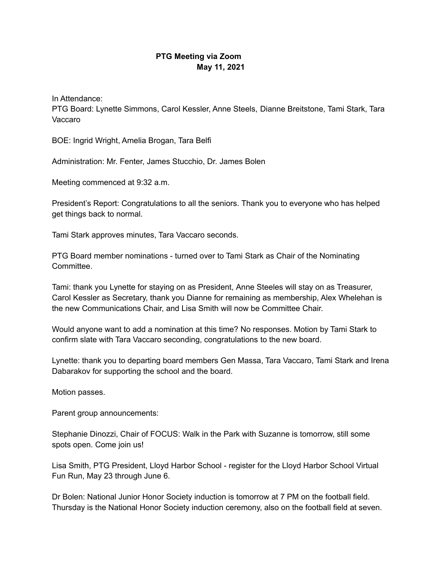## **PTG Meeting via Zoom May 11, 2021**

In Attendance:

PTG Board: Lynette Simmons, Carol Kessler, Anne Steels, Dianne Breitstone, Tami Stark, Tara Vaccaro

BOE: Ingrid Wright, Amelia Brogan, Tara Belfi

Administration: Mr. Fenter, James Stucchio, Dr. James Bolen

Meeting commenced at 9:32 a.m.

President's Report: Congratulations to all the seniors. Thank you to everyone who has helped get things back to normal.

Tami Stark approves minutes, Tara Vaccaro seconds.

PTG Board member nominations - turned over to Tami Stark as Chair of the Nominating Committee.

Tami: thank you Lynette for staying on as President, Anne Steeles will stay on as Treasurer, Carol Kessler as Secretary, thank you Dianne for remaining as membership, Alex Whelehan is the new Communications Chair, and Lisa Smith will now be Committee Chair.

Would anyone want to add a nomination at this time? No responses. Motion by Tami Stark to confirm slate with Tara Vaccaro seconding, congratulations to the new board.

Lynette: thank you to departing board members Gen Massa, Tara Vaccaro, Tami Stark and Irena Dabarakov for supporting the school and the board.

Motion passes.

Parent group announcements:

Stephanie Dinozzi, Chair of FOCUS: Walk in the Park with Suzanne is tomorrow, still some spots open. Come join us!

Lisa Smith, PTG President, Lloyd Harbor School - register for the Lloyd Harbor School Virtual Fun Run, May 23 through June 6.

Dr Bolen: National Junior Honor Society induction is tomorrow at 7 PM on the football field. Thursday is the National Honor Society induction ceremony, also on the football field at seven.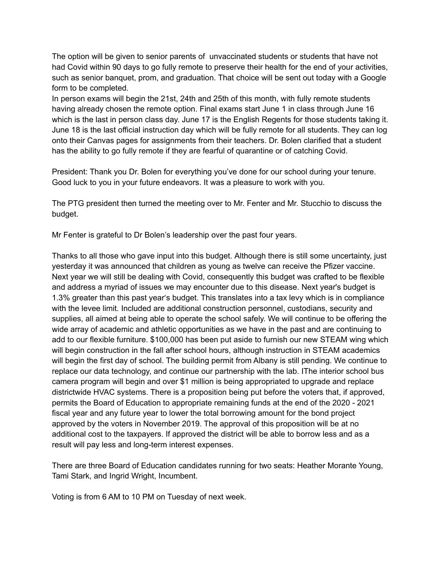The option will be given to senior parents of unvaccinated students or students that have not had Covid within 90 days to go fully remote to preserve their health for the end of your activities, such as senior banquet, prom, and graduation. That choice will be sent out today with a Google form to be completed.

In person exams will begin the 21st, 24th and 25th of this month, with fully remote students having already chosen the remote option. Final exams start June 1 in class through June 16 which is the last in person class day. June 17 is the English Regents for those students taking it. June 18 is the last official instruction day which will be fully remote for all students. They can log onto their Canvas pages for assignments from their teachers. Dr. Bolen clarified that a student has the ability to go fully remote if they are fearful of quarantine or of catching Covid.

President: Thank you Dr. Bolen for everything you've done for our school during your tenure. Good luck to you in your future endeavors. It was a pleasure to work with you.

The PTG president then turned the meeting over to Mr. Fenter and Mr. Stucchio to discuss the budget.

Mr Fenter is grateful to Dr Bolen's leadership over the past four years.

Thanks to all those who gave input into this budget. Although there is still some uncertainty, just yesterday it was announced that children as young as twelve can receive the Pfizer vaccine. Next year we will still be dealing with Covid, consequently this budget was crafted to be flexible and address a myriad of issues we may encounter due to this disease. Next year's budget is 1.3% greater than this past year's budget. This translates into a tax levy which is in compliance with the levee limit. Included are additional construction personnel, custodians, security and supplies, all aimed at being able to operate the school safely. We will continue to be offering the wide array of academic and athletic opportunities as we have in the past and are continuing to add to our flexible furniture. \$100,000 has been put aside to furnish our new STEAM wing which will begin construction in the fall after school hours, although instruction in STEAM academics will begin the first day of school. The building permit from Albany is still pending. We continue to replace our data technology, and continue our partnership with the lab. IThe interior school bus camera program will begin and over \$1 million is being appropriated to upgrade and replace districtwide HVAC systems. There is a proposition being put before the voters that, if approved, permits the Board of Education to appropriate remaining funds at the end of the 2020 - 2021 fiscal year and any future year to lower the total borrowing amount for the bond project approved by the voters in November 2019. The approval of this proposition will be at no additional cost to the taxpayers. If approved the district will be able to borrow less and as a result will pay less and long-term interest expenses.

There are three Board of Education candidates running for two seats: Heather Morante Young, Tami Stark, and Ingrid Wright, Incumbent.

Voting is from 6 AM to 10 PM on Tuesday of next week.